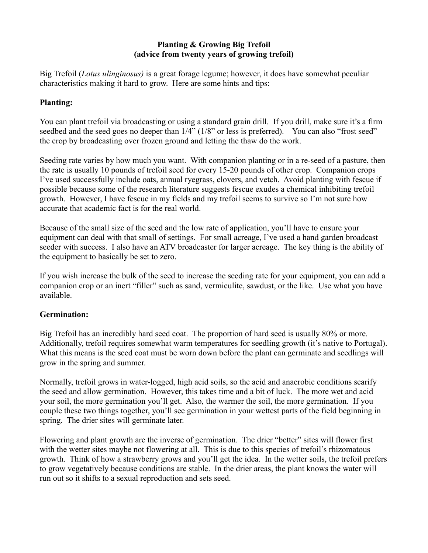## **Planting & Growing Big Trefoil (advice from twenty years of growing trefoil)**

Big Trefoil (*Lotus ulinginosus)* is a great forage legume; however, it does have somewhat peculiar characteristics making it hard to grow. Here are some hints and tips:

# **Planting:**

You can plant trefoil via broadcasting or using a standard grain drill. If you drill, make sure it's a firm seedbed and the seed goes no deeper than  $1/4$ " ( $1/8$ " or less is preferred). You can also "frost seed" the crop by broadcasting over frozen ground and letting the thaw do the work.

Seeding rate varies by how much you want. With companion planting or in a re-seed of a pasture, then the rate is usually 10 pounds of trefoil seed for every 15-20 pounds of other crop. Companion crops I've used successfully include oats, annual ryegrass, clovers, and vetch. Avoid planting with fescue if possible because some of the research literature suggests fescue exudes a chemical inhibiting trefoil growth. However, I have fescue in my fields and my trefoil seems to survive so I'm not sure how accurate that academic fact is for the real world.

Because of the small size of the seed and the low rate of application, you'll have to ensure your equipment can deal with that small of settings. For small acreage, I've used a hand garden broadcast seeder with success. I also have an ATV broadcaster for larger acreage. The key thing is the ability of the equipment to basically be set to zero.

If you wish increase the bulk of the seed to increase the seeding rate for your equipment, you can add a companion crop or an inert "filler" such as sand, vermiculite, sawdust, or the like. Use what you have available.

## **Germination:**

Big Trefoil has an incredibly hard seed coat. The proportion of hard seed is usually 80% or more. Additionally, trefoil requires somewhat warm temperatures for seedling growth (it's native to Portugal). What this means is the seed coat must be worn down before the plant can germinate and seedlings will grow in the spring and summer.

Normally, trefoil grows in water-logged, high acid soils, so the acid and anaerobic conditions scarify the seed and allow germination. However, this takes time and a bit of luck. The more wet and acid your soil, the more germination you'll get. Also, the warmer the soil, the more germination. If you couple these two things together, you'll see germination in your wettest parts of the field beginning in spring. The drier sites will germinate later.

Flowering and plant growth are the inverse of germination. The drier "better" sites will flower first with the wetter sites maybe not flowering at all. This is due to this species of trefoil's rhizomatous growth. Think of how a strawberry grows and you'll get the idea. In the wetter soils, the trefoil prefers to grow vegetatively because conditions are stable. In the drier areas, the plant knows the water will run out so it shifts to a sexual reproduction and sets seed.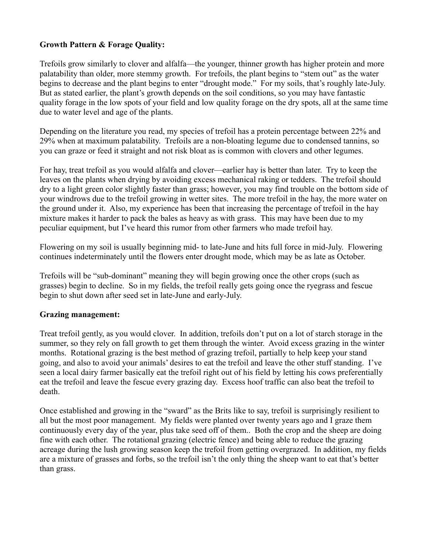## **Growth Pattern & Forage Quality:**

Trefoils grow similarly to clover and alfalfa—the younger, thinner growth has higher protein and more palatability than older, more stemmy growth. For trefoils, the plant begins to "stem out" as the water begins to decrease and the plant begins to enter "drought mode." For my soils, that's roughly late-July. But as stated earlier, the plant's growth depends on the soil conditions, so you may have fantastic quality forage in the low spots of your field and low quality forage on the dry spots, all at the same time due to water level and age of the plants.

Depending on the literature you read, my species of trefoil has a protein percentage between 22% and 29% when at maximum palatability. Trefoils are a non-bloating legume due to condensed tannins, so you can graze or feed it straight and not risk bloat as is common with clovers and other legumes.

For hay, treat trefoil as you would alfalfa and clover—earlier hay is better than later. Try to keep the leaves on the plants when drying by avoiding excess mechanical raking or tedders. The trefoil should dry to a light green color slightly faster than grass; however, you may find trouble on the bottom side of your windrows due to the trefoil growing in wetter sites. The more trefoil in the hay, the more water on the ground under it. Also, my experience has been that increasing the percentage of trefoil in the hay mixture makes it harder to pack the bales as heavy as with grass. This may have been due to my peculiar equipment, but I've heard this rumor from other farmers who made trefoil hay.

Flowering on my soil is usually beginning mid- to late-June and hits full force in mid-July. Flowering continues indeterminately until the flowers enter drought mode, which may be as late as October.

Trefoils will be "sub-dominant" meaning they will begin growing once the other crops (such as grasses) begin to decline. So in my fields, the trefoil really gets going once the ryegrass and fescue begin to shut down after seed set in late-June and early-July.

#### **Grazing management:**

Treat trefoil gently, as you would clover. In addition, trefoils don't put on a lot of starch storage in the summer, so they rely on fall growth to get them through the winter. Avoid excess grazing in the winter months. Rotational grazing is the best method of grazing trefoil, partially to help keep your stand going, and also to avoid your animals' desires to eat the trefoil and leave the other stuff standing. I've seen a local dairy farmer basically eat the trefoil right out of his field by letting his cows preferentially eat the trefoil and leave the fescue every grazing day. Excess hoof traffic can also beat the trefoil to death.

Once established and growing in the "sward" as the Brits like to say, trefoil is surprisingly resilient to all but the most poor management. My fields were planted over twenty years ago and I graze them continuously every day of the year, plus take seed off of them.. Both the crop and the sheep are doing fine with each other. The rotational grazing (electric fence) and being able to reduce the grazing acreage during the lush growing season keep the trefoil from getting overgrazed. In addition, my fields are a mixture of grasses and forbs, so the trefoil isn't the only thing the sheep want to eat that's better than grass.